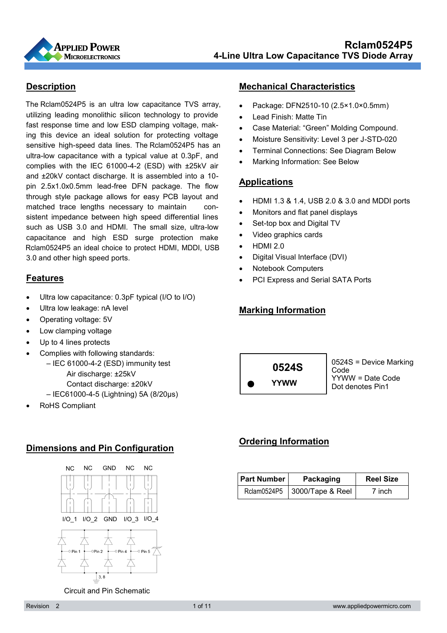

#### **Description**

Rclam0524P5 an ideal choice to protect HDMI, MDDI, USB sensitive high-speed data lines. The Rclam0524P5 has an The Rclam0524P5 is an ultra low capacitance TVS array, utilizing leading monolithic silicon technology to provide fast response time and low ESD clamping voltage, making this device an ideal solution for protecting voltage ultra-low capacitance with a typical value at 0.3pF, and complies with the IEC 61000-4-2 (ESD) with ±25kV air and ±20kV contact discharge. It is assembled into a 10 pin 2.5x1.0x0.5mm lead-free DFN package. The flow through style package allows for easy PCB layout and matched trace lengths necessary to maintain consistent impedance between high speed differential lines such as USB 3.0 and HDMI. The small size, ultra-low capacitance and high ESD surge protection make 3.0 and other high speed ports.

#### **Features**

- Ultra low capacitance: 0.3pF typical (I/O to I/O)
- Ultra low leakage: nA level
- Operating voltage: 5V
- Low clamping voltage
- Up to 4 lines protects
- Complies with following standards:
	- IEC 61000-4-2 (ESD) immunity test Air discharge: ±25kV
		- Contact discharge: ±20kV
	- IEC61000-4-5 (Lightning) 5A (8/20μs)
- RoHS Compliant

#### **Mechanical Characteristics**

- Package: DFN2510-10 (2.5×1.0×0.5mm)
- Lead Finish: Matte Tin
- Case Material: "Green" Molding Compound.
- Moisture Sensitivity: Level 3 per J-STD-020
- Terminal Connections: See Diagram Below
- Marking Information: See Below

#### **Applications**

- HDMI 1.3 & 1.4, USB 2.0 & 3.0 and MDDI ports
- Monitors and flat panel displays
- Set-top box and Digital TV
- Video graphics cards
- HDMI 2.0
- Digital Visual Interface (DVI)
- Notebook Computers
- PCI Express and Serial SATA Ports

#### **Marking Information**



#### **Ordering Information**

| <b>Part Number</b> | Packaging           | <b>Reel Size</b> |  |
|--------------------|---------------------|------------------|--|
| Rclam0524P5        | $3000$ /Tape & Reel | 7 inch           |  |





Circuit and Pin Schematic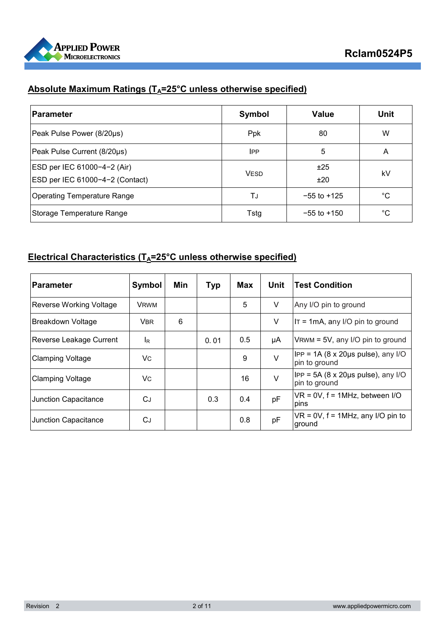

# **Absolute Maximum Ratings (TA=25°C unless otherwise specified)**

| <b>Parameter</b>                   | Symbol      | <b>Value</b>    | <b>Unit</b> |
|------------------------------------|-------------|-----------------|-------------|
| Peak Pulse Power (8/20µs)          | <b>Ppk</b>  | 80              | W           |
| Peak Pulse Current (8/20µs)        | <b>IPP</b>  | 5               | A           |
| ESD per IEC 61000-4-2 (Air)        | <b>VESD</b> | ±25             | kV          |
| ESD per IEC 61000-4-2 (Contact)    |             | ±20             |             |
| <b>Operating Temperature Range</b> | TJ          | $-55$ to $+125$ | °C          |
| Storage Temperature Range          | Tstg        | $-55$ to $+150$ | °C          |

### **Electrical Characteristics (T<sub>A</sub>=25°C unless otherwise specified)**

| <b>Parameter</b>        | Symbol         | Min | <b>Typ</b> | Max | <b>Unit</b> | <b>Test Condition</b>                                                   |
|-------------------------|----------------|-----|------------|-----|-------------|-------------------------------------------------------------------------|
| Reverse Working Voltage | <b>VRWM</b>    |     |            | 5   | V           | Any I/O pin to ground                                                   |
| Breakdown Voltage       | <b>VBR</b>     | 6   |            |     | V           | IT = 1mA, any I/O pin to ground                                         |
| Reverse Leakage Current | l <sub>R</sub> |     | 0.01       | 0.5 | μA          | $V$ RWM = 5V, any I/O pin to ground                                     |
| <b>Clamping Voltage</b> | Vc             |     |            | 9   | $\vee$      | $IPP = 1A (8 \times 20 \mu s \text{ pulse})$ , any I/O<br>pin to ground |
| <b>Clamping Voltage</b> | V <sub>C</sub> |     |            | 16  | $\vee$      | $IPP = 5A (8 \times 20 \mu s \text{ pulse})$ , any I/O<br>pin to ground |
| Junction Capacitance    | СJ             |     | 0.3        | 0.4 | pF          | $VR = 0V$ , $f = 1MHz$ , between I/O<br>pins                            |
| Junction Capacitance    | CJ             |     |            | 0.8 | pF          | $VR = 0V$ , $f = 1MHz$ , any I/O pin to<br>ground                       |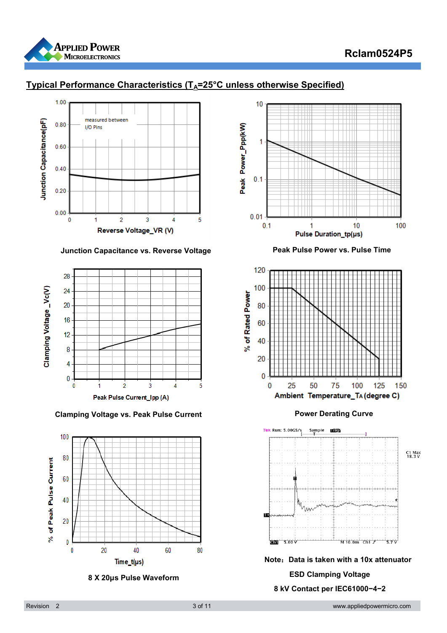

## **Rclam0524P5**



## **Typical Performance Characteristics (TA=25°C unless otherwise Specified)**

 **Junction Capacitance vs. Reverse Voltage Peak Pulse Power vs. Pulse Time** 



**Clamping Voltage vs. Peak Pulse Current Curve Power Derating Curve** 







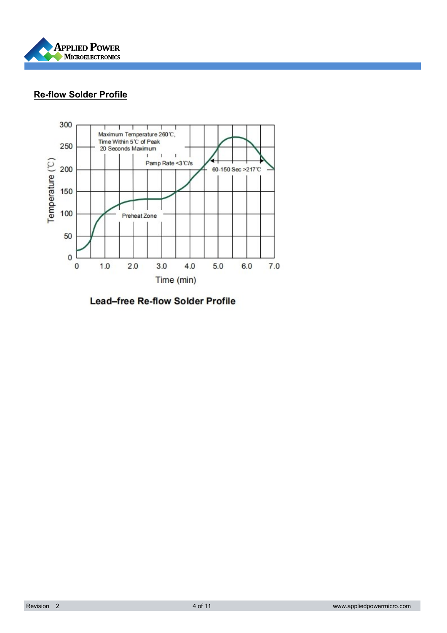

## **Re-flow Solder Profile**



**Lead-free Re-flow Solder Profile**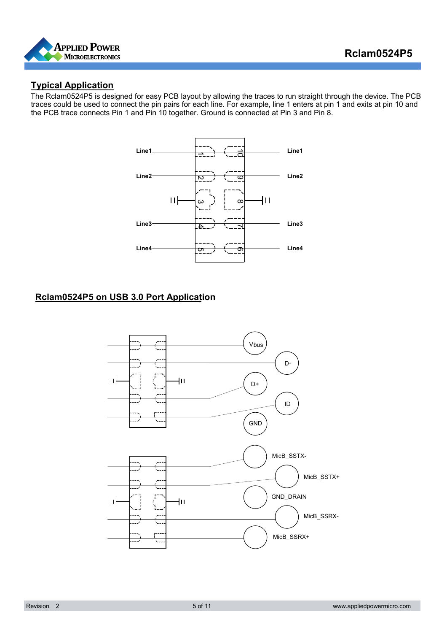

#### **Typical Application**

The Rclam0524P5 is designed for easy PCB layout by allowing the traces to run straight through the device. The PCB traces could be used to connect the pin pairs for each line. For example, line 1 enters at pin 1 and exits at pin 10 and the PCB trace connects Pin 1 and Pin 10 together. Ground is connected at Pin 3 and Pin 8.



## **Rclam0524P5 on USB 3.0 Port Application**

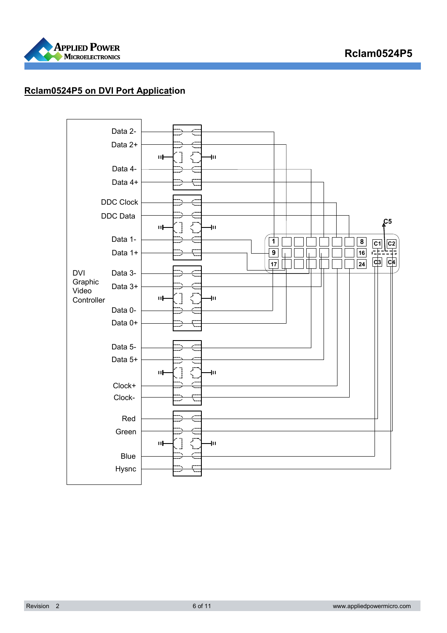

## **Rclam0524P5 on DVI Port Application**

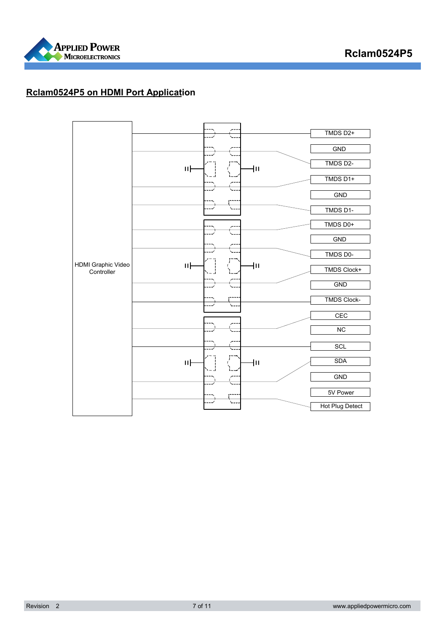

#### **Rclam0524P5 on HDMI Port Application**

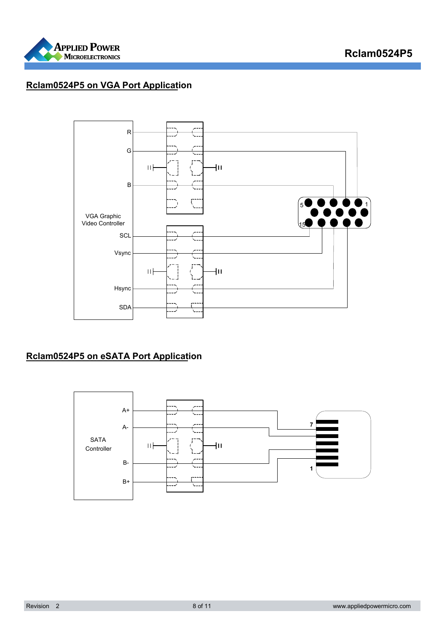

### **Rclam0524P5 on VGA Port Application**



## **Rclam0524P5 on eSATA Port Application**

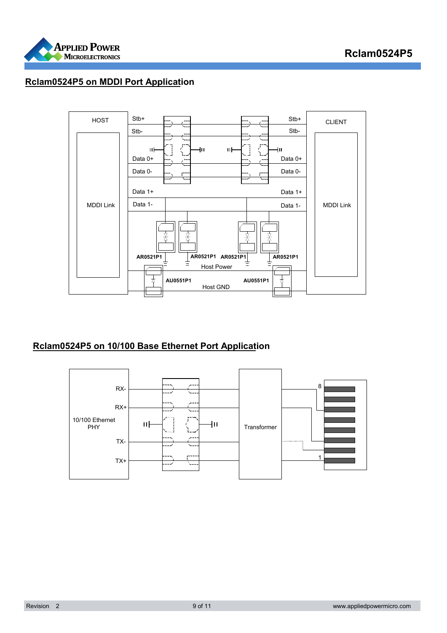

#### **Rclam0524P5 on MDDI Port Application**



#### **Rclam0524P5 on 10/100 Base Ethernet Port Application**

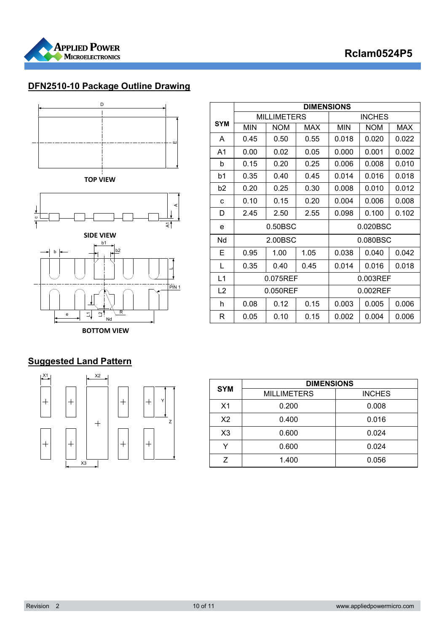



## **DFN2510-10 Package Outline Drawing**



**TOP VIEW**



**BOTTOM VIEW**

|                | <b>DIMENSIONS</b> |                    |      |             |               |       |  |
|----------------|-------------------|--------------------|------|-------------|---------------|-------|--|
|                |                   | <b>MILLIMETERS</b> |      |             | <b>INCHES</b> |       |  |
| <b>SYM</b>     | <b>MIN</b>        | <b>NOM</b>         | MAX  | <b>MIN</b>  | <b>NOM</b>    | MAX   |  |
| A              | 0.45              | 0.50               | 0.55 | 0.018       | 0.020         | 0.022 |  |
| A1             | 0.00              | 0.02               | 0.05 | 0.000       | 0.001         | 0.002 |  |
| b              | 0.15              | 0.20               | 0.25 | 0.006       | 0.008         | 0.010 |  |
| b1             | 0.35              | 0.40               | 0.45 | 0.014       | 0.016         | 0.018 |  |
| b2             | 0.20              | 0.25               | 0.30 | 0.008       | 0.010         | 0.012 |  |
| C              | 0.10              | 0.15               | 0.20 | 0.004       | 0.006         | 0.008 |  |
| D              | 2.45              | 2.50               | 2.55 | 0.098       | 0.100         | 0.102 |  |
| e              | $0.50$ BSC        |                    |      | 0.020BSC    |               |       |  |
| Nd             | 2.00BSC           |                    |      | 0.080BSC    |               |       |  |
| Е              | 0.95              | 1.00               | 1.05 | 0.038       | 0.040         | 0.042 |  |
| L              | 0.35              | 0.40               | 0.45 | 0.014       | 0.016         | 0.018 |  |
| L1             | 0.075REF          |                    |      | 0.003REF    |               |       |  |
| L <sub>2</sub> | 0.050REF          |                    |      | $0.002$ REF |               |       |  |
| h              | 0.08              | 0.12               | 0.15 | 0.003       | 0.005         | 0.006 |  |
| R              | 0.05              | 0.10               | 0.15 | 0.002       | 0.004         | 0.006 |  |

## **Suggested Land Pattern**



| <b>SYM</b>     | <b>DIMENSIONS</b>  |               |  |  |
|----------------|--------------------|---------------|--|--|
|                | <b>MILLIMETERS</b> | <b>INCHES</b> |  |  |
| X <sub>1</sub> | 0.200              | 0.008         |  |  |
| X <sub>2</sub> | 0.400              | 0.016         |  |  |
| X <sub>3</sub> | 0.600              | 0.024         |  |  |
| v              | 0.600              | 0.024         |  |  |
| 7              | 1.400              | 0.056         |  |  |